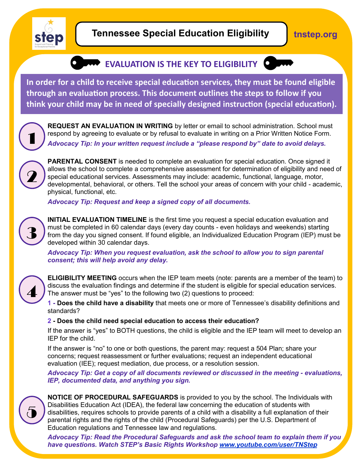

## **Tennessee Special Education Eligibility**

**tnstep.org**

## **EVALUATION IS THE KEY TO ELIGIBILITY**



**In order for a child to receive special education services, they must be found eligible through an evaluation process. This document outlines the steps to follow if you think your child may be in need of specially designed instruction (special education).** 



**REQUEST AN EVALUATION IN WRITING** by letter or email to school administration. School must respond by agreeing to evaluate or by refusal to evaluate in writing on a Prior Written Notice Form. *Advocacy Tip: In your written request include a "please respond by" date to avoid delays.* 



**PARENTAL CONSENT** is needed to complete an evaluation for special education. Once signed it allows the school to complete a comprehensive assessment for determination of eligibility and need of special educational services. Assessments may include: academic, functional, language, motor, developmental, behavioral, or others. Tell the school your areas of concern with your child - academic, physical, functional, etc.

*Advocacy Tip: Request and keep a signed copy of all documents.*



**INITIAL EVALUATION TIMELINE** is the first time you request a special education evaluation and must be completed in 60 calendar days (every day counts - even holidays and weekends) starting from the day you signed consent. If found eligible, an Individualized Education Program (IEP) must be developed within 30 calendar days.

*Advocacy Tip: When you request evaluation, ask the school to allow you to sign parental consent; this will help avoid any delay.*



**ELIGIBILITY MEETING** occurs when the IEP team meets (note: parents are a member of the team) to discuss the evaluation findings and determine if the student is eligible for special education services. The answer must be "yes" to the following two (2) questions to proceed:

**1 - Does the child have a disability** that meets one or more of Tennessee's disability definitions and standards?

## **2 - Does the child need special education to access their education?**

If the answer is "yes" to BOTH questions, the child is eligible and the IEP team will meet to develop an IEP for the child.

If the answer is "no" to one or both questions, the parent may: request a 504 Plan; share your concerns; request reassessment or further evaluations; request an independent educational evaluation (IEE); request mediation, due process, or a resolution session.

Advocacy Tip: Get a copy of all documents reviewed or discussed in the meeting - evaluations, *IEP, documented data, and anything you sign.*



**NOTICE OF PROCEDURAL SAFEGUARDS** is provided to you by the school. The Individuals with Disabilities Education Act (IDEA), the federal law concerning the education of students with disabilities, requires schools to provide parents of a child with a disability a full explanation of their parental rights and the rights of the child (Procedural Safeguards) per the U.S. Department of Education regulations and Tennessee law and regulations.

*Advocacy Tip: Read the Procedural Safeguards and ask the school team to explain them if you have questions. Watch STEP's Basic Rights Workshop [www.youtube.com/user/TNStep](http://www.youtube.com/user/TNStep)*